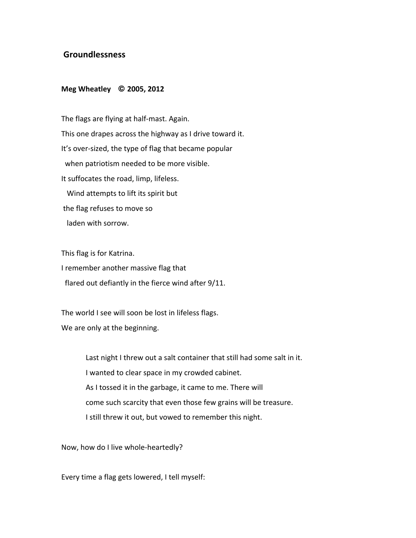## **!Groundlessness**

## **Meg Wheatley © 2005, 2012**

The flags are flying at half-mast. Again. This one drapes across the highway as I drive toward it. It's over-sized, the type of flag that became popular when patriotism needed to be more visible. It suffocates the road, limp, lifeless. Wind attempts to lift its spirit but the flag refuses to move so laden with sorrow.

This flag is for Katrina.

I remember another massive flag that

flared out defiantly in the fierce wind after  $9/11$ .

The world I see will soon be lost in lifeless flags.

We are only at the beginning.

Last night I threw out a salt container that still had some salt in it. I wanted to clear space in my crowded cabinet. As I tossed it in the garbage, it came to me. There will come such scarcity that even those few grains will be treasure. I still threw it out, but vowed to remember this night.

Now, how do I live whole-heartedly?

Every time a flag gets lowered, I tell myself: